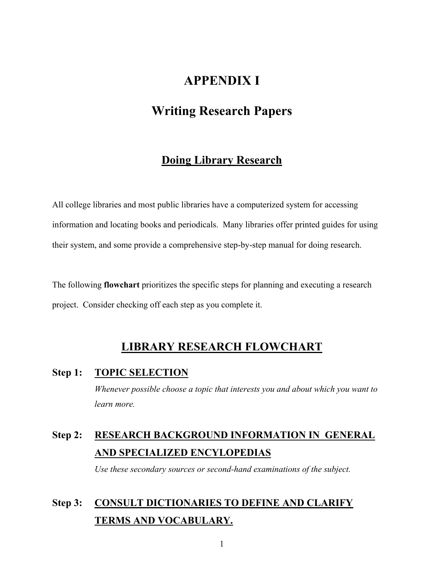## **APPENDIX I**

## **Writing Research Papers**

## **Doing Library Research**

All college libraries and most public libraries have a computerized system for accessing information and locating books and periodicals. Many libraries offer printed guides for using their system, and some provide a comprehensive step-by-step manual for doing research.

The following **flowchart** prioritizes the specific steps for planning and executing a research project. Consider checking off each step as you complete it.

## **LIBRARY RESEARCH FLOWCHART**

## **Step 1: TOPIC SELECTION**

 *Whenever possible choose a topic that interests you and about which you want to learn more.* 

# **Step 2: RESEARCH BACKGROUND INFORMATION IN GENERAL AND SPECIALIZED ENCYLOPEDIAS**

 *Use these secondary sources or second-hand examinations of the subject.*

# **Step 3: CONSULT DICTIONARIES TO DEFINE AND CLARIFY TERMS AND VOCABULARY.**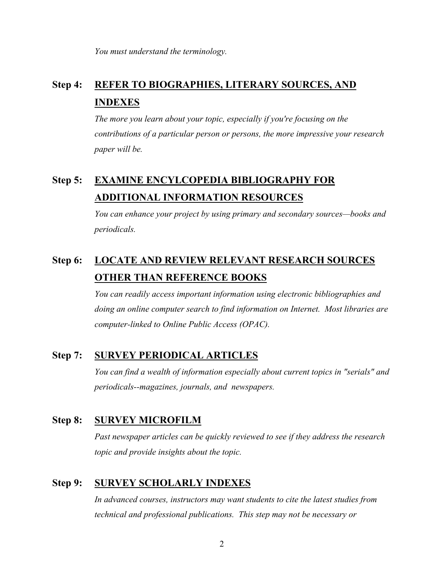*You must understand the terminology.* 

# **Step 4: REFER TO BIOGRAPHIES, LITERARY SOURCES, AND INDEXES**

 *The more you learn about your topic, especially if you're focusing on the contributions of a particular person or persons, the more impressive your research paper will be.* 

# **Step 5: EXAMINE ENCYLCOPEDIA BIBLIOGRAPHY FOR ADDITIONAL INFORMATION RESOURCES**

 *You can enhance your project by using primary and secondary sources—books and periodicals.* 

# **Step 6: LOCATE AND REVIEW RELEVANT RESEARCH SOURCES OTHER THAN REFERENCE BOOKS**

*You can readily access important information using electronic bibliographies and doing an online computer search to find information on Internet. Most libraries are computer-linked to Online Public Access (OPAC).* 

## **Step 7: SURVEY PERIODICAL ARTICLES**

 *You can find a wealth of information especially about current topics in "serials" and periodicals--magazines, journals, and newspapers.* 

## **Step 8: SURVEY MICROFILM**

*Past newspaper articles can be quickly reviewed to see if they address the research topic and provide insights about the topic.* 

## **Step 9: SURVEY SCHOLARLY INDEXES**

*In advanced courses, instructors may want students to cite the latest studies from technical and professional publications. This step may not be necessary or*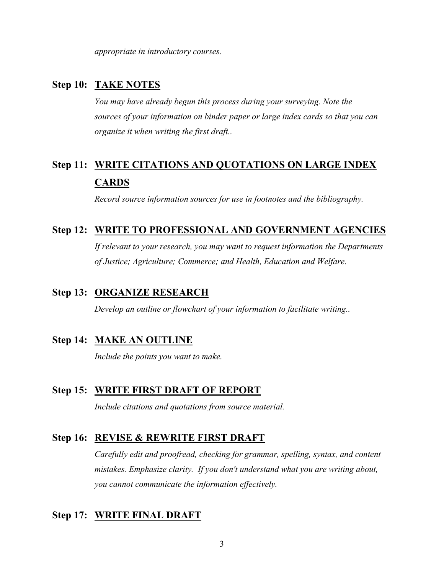*appropriate in introductory courses.* 

## **Step 10: TAKE NOTES**

*You may have already begun this process during your surveying. Note the sources of your information on binder paper or large index cards so that you can organize it when writing the first draft..* 

# **Step 11: WRITE CITATIONS AND QUOTATIONS ON LARGE INDEX CARDS**

 *Record source information sources for use in footnotes and the bibliography.* 

### **Step 12: WRITE TO PROFESSIONAL AND GOVERNMENT AGENCIES**

*If relevant to your research, you may want to request information the Departments of Justice; Agriculture; Commerce; and Health, Education and Welfare.* 

## **Step 13: ORGANIZE RESEARCH**

 *Develop an outline or flowchart of your information to facilitate writing..* 

## **Step 14: MAKE AN OUTLINE**

*Include the points you want to make.* 

#### **Step 15: WRITE FIRST DRAFT OF REPORT**

 *Include citations and quotations from source material.* 

#### **Step 16: REVISE & REWRITE FIRST DRAFT**

 *Carefully edit and proofread, checking for grammar, spelling, syntax, and content mistakes. Emphasize clarity. If you don't understand what you are writing about, you cannot communicate the information effectively.* 

## **Step 17: WRITE FINAL DRAFT**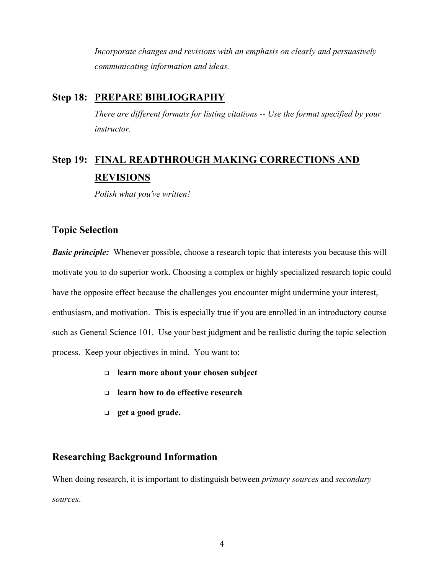*Incorporate changes and revisions with an emphasis on clearly and persuasively communicating information and ideas.* 

## **Step 18: PREPARE BIBLIOGRAPHY**

 *There are different formats for listing citations -- Use the format specified by your instructor.*

# **Step 19: FINAL READTHROUGH MAKING CORRECTIONS AND REVISIONS**

 *Polish what you've written!* 

#### **Topic Selection**

*Basic principle:* Whenever possible, choose a research topic that interests you because this will motivate you to do superior work. Choosing a complex or highly specialized research topic could have the opposite effect because the challenges you encounter might undermine your interest, enthusiasm, and motivation. This is especially true if you are enrolled in an introductory course such as General Science 101. Use your best judgment and be realistic during the topic selection process. Keep your objectives in mind. You want to:

- **learn more about your chosen subject**
- **learn how to do effective research**
- **get a good grade.**

## **Researching Background Information**

When doing research, it is important to distinguish between *primary sources* and *secondary sources*.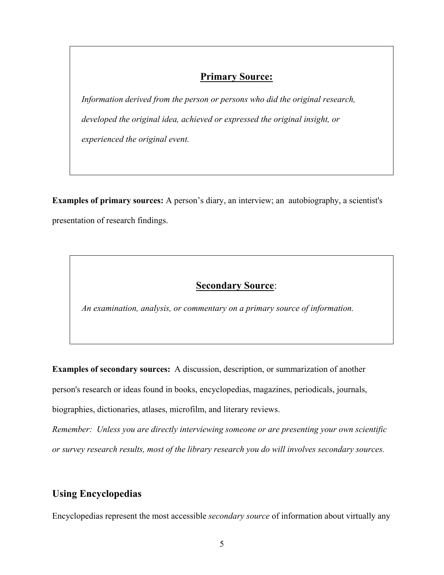## **Primary Source:**

*Information derived from the person or persons who did the original research, developed the original idea, achieved or expressed the original insight, or experienced the original event.* 

**Examples of primary sources:** A person's diary, an interview; an autobiography, a scientist's presentation of research findings.

## **Secondary Source**:

*An examination, analysis, or commentary on a primary source of information.* 

**Examples of secondary sources:** A discussion, description, or summarization of another

person's research or ideas found in books, encyclopedias, magazines, periodicals, journals,

biographies, dictionaries, atlases, microfilm, and literary reviews.

*Remember: Unless you are directly interviewing someone or are presenting your own scientific or survey research results, most of the library research you do will involves secondary sources.*

## **Using Encyclopedias**

Encyclopedias represent the most accessible *secondary source* of information about virtually any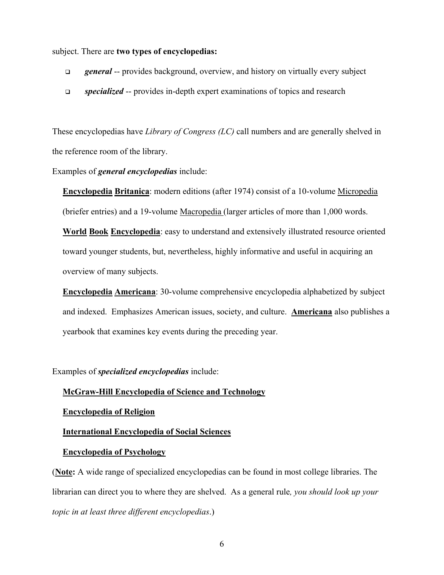subject. There are **two types of encyclopedias:**

- *general* -- provides background, overview, and history on virtually every subject
- *specialized* -- provides in-depth expert examinations of topics and research

These encyclopedias have *Library of Congress (LC)* call numbers and are generally shelved in the reference room of the library.

#### Examples of *general encyclopedias* include:

**Encyclopedia Britanica**: modern editions (after 1974) consist of a 10-volume Micropedia (briefer entries) and a 19-volume Macropedia (larger articles of more than 1,000 words.

**World Book Encyclopedia**: easy to understand and extensively illustrated resource oriented toward younger students, but, nevertheless, highly informative and useful in acquiring an overview of many subjects.

**Encyclopedia Americana**: 30-volume comprehensive encyclopedia alphabetized by subject and indexed. Emphasizes American issues, society, and culture. **Americana** also publishes a yearbook that examines key events during the preceding year.

Examples of *specialized encyclopedias* include:

#### **McGraw-Hill Encyclopedia of Science and Technology**

#### **Encyclopedia of Religion**

#### **International Encyclopedia of Social Sciences**

#### **Encyclopedia of Psychology**

(**Note:** A wide range of specialized encyclopedias can be found in most college libraries. The librarian can direct you to where they are shelved. As a general rule*, you should look up your topic in at least three different encyclopedias*.)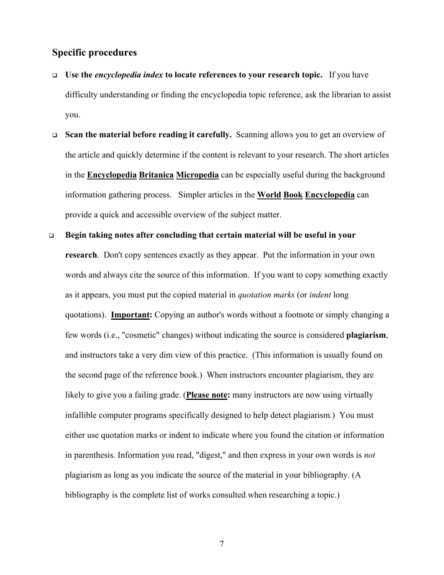### **Specific procedures**

- **Use the** *encyclopedia index* **to locate references to your research topic.** If you have difficulty understanding or finding the encyclopedia topic reference, ask the librarian to assist you.
- **Scan the material before reading it carefully.** Scanning allows you to get an overview of the article and quickly determine if the content is relevant to your research. The short articles in the **Encyclopedia Britanica Micropedia** can be especially useful during the background information gathering process. Simpler articles in the **World Book Encyclopedia** can provide a quick and accessible overview of the subject matter.
- **Begin taking notes after concluding that certain material will be useful in your research**. Don't copy sentences exactly as they appear. Put the information in your own words and always cite the source of this information. If you want to copy something exactly as it appears, you must put the copied material in *quotation marks* (or *indent* long quotations). **Important:** Copying an author's words without a footnote or simply changing a few words (i.e., "cosmetic" changes) without indicating the source is considered **plagiarism**, and instructors take a very dim view of this practice. (This information is usually found on the second page of the reference book.) When instructors encounter plagiarism, they are likely to give you a failing grade. (**Please note:** many instructors are now using virtually infallible computer programs specifically designed to help detect plagiarism.) You must either use quotation marks or indent to indicate where you found the citation or information in parenthesis. Information you read, "digest," and then express in your own words is *not* plagiarism as long as you indicate the source of the material in your bibliography. (A bibliography is the complete list of works consulted when researching a topic.)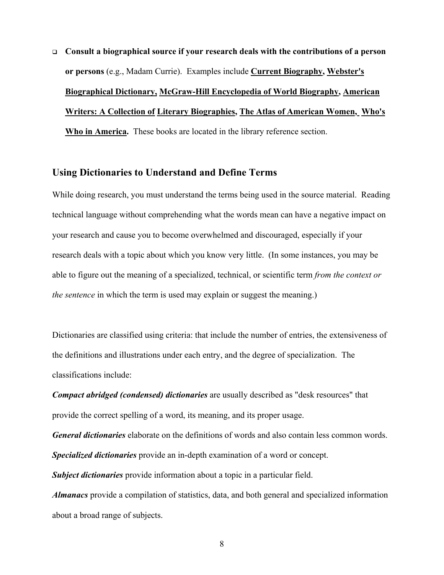**Consult a biographical source if your research deals with the contributions of a person or persons** (e.g., Madam Currie). Examples include **Current Biography, Webster's Biographical Dictionary, McGraw-Hill Encyclopedia of World Biography, American Writers: A Collection of Literary Biographies, The Atlas of American Women, Who's Who in America.** These books are located in the library reference section.

### **Using Dictionaries to Understand and Define Terms**

While doing research, you must understand the terms being used in the source material. Reading technical language without comprehending what the words mean can have a negative impact on your research and cause you to become overwhelmed and discouraged, especially if your research deals with a topic about which you know very little. (In some instances, you may be able to figure out the meaning of a specialized, technical, or scientific term *from the context or the sentence* in which the term is used may explain or suggest the meaning.)

Dictionaries are classified using criteria: that include the number of entries, the extensiveness of the definitions and illustrations under each entry, and the degree of specialization. The classifications include:

*Compact abridged (condensed) dictionaries* are usually described as "desk resources" that provide the correct spelling of a word, its meaning, and its proper usage.

*General dictionaries* elaborate on the definitions of words and also contain less common words. *Specialized dictionaries* provide an in-depth examination of a word or concept.

*Subject dictionaries* provide information about a topic in a particular field.

*Almanacs* provide a compilation of statistics, data, and both general and specialized information about a broad range of subjects.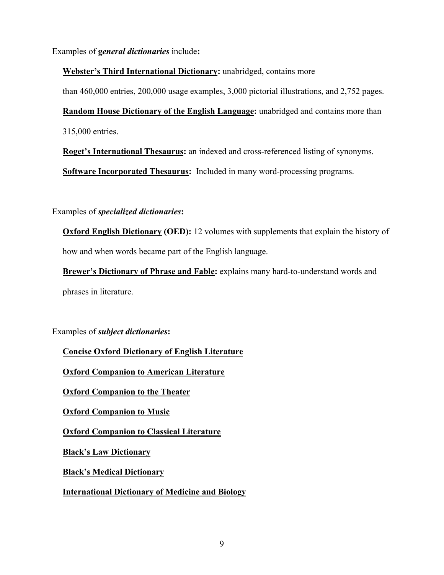Examples of **g***eneral dictionaries* include**:**

**Webster's Third International Dictionary:** unabridged, contains more

than 460,000 entries, 200,000 usage examples, 3,000 pictorial illustrations, and 2,752 pages.

**Random House Dictionary of the English Language:** unabridged and contains more than 315,000 entries.

**Roget's International Thesaurus:** an indexed and cross-referenced listing of synonyms.

**Software Incorporated Thesaurus:** Included in many word-processing programs.

Examples of *specialized dictionaries***:**

**Oxford English Dictionary (OED):** 12 volumes with supplements that explain the history of how and when words became part of the English language.

**Brewer's Dictionary of Phrase and Fable:** explains many hard-to-understand words and phrases in literature.

Examples of *subject dictionaries***:** 

**Concise Oxford Dictionary of English Literature**

**Oxford Companion to American Literature**

**Oxford Companion to the Theater**

**Oxford Companion to Music**

**Oxford Companion to Classical Literature**

**Black's Law Dictionary**

**Black's Medical Dictionary**

**International Dictionary of Medicine and Biology**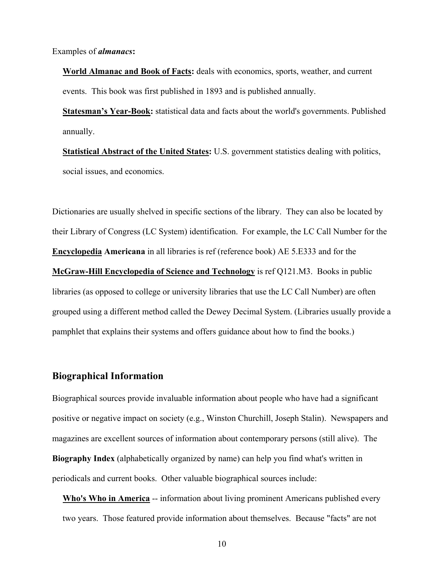Examples of *almanacs***:** 

**World Almanac and Book of Facts:** deals with economics, sports, weather, and current events. This book was first published in 1893 and is published annually.

**Statesman's Year-Book:** statistical data and facts about the world's governments. Published annually.

**Statistical Abstract of the United States:** U.S. government statistics dealing with politics, social issues, and economics.

Dictionaries are usually shelved in specific sections of the library. They can also be located by their Library of Congress (LC System) identification. For example, the LC Call Number for the **Encyclopedia Americana** in all libraries is ref (reference book) AE 5.E333 and for the **McGraw-Hill Encyclopedia of Science and Technology** is ref Q121.M3. Books in public libraries (as opposed to college or university libraries that use the LC Call Number) are often grouped using a different method called the Dewey Decimal System. (Libraries usually provide a pamphlet that explains their systems and offers guidance about how to find the books.)

### **Biographical Information**

Biographical sources provide invaluable information about people who have had a significant positive or negative impact on society (e.g., Winston Churchill, Joseph Stalin). Newspapers and magazines are excellent sources of information about contemporary persons (still alive). The **Biography Index** (alphabetically organized by name) can help you find what's written in periodicals and current books. Other valuable biographical sources include:

**Who's Who in America** -- information about living prominent Americans published every two years. Those featured provide information about themselves. Because "facts" are not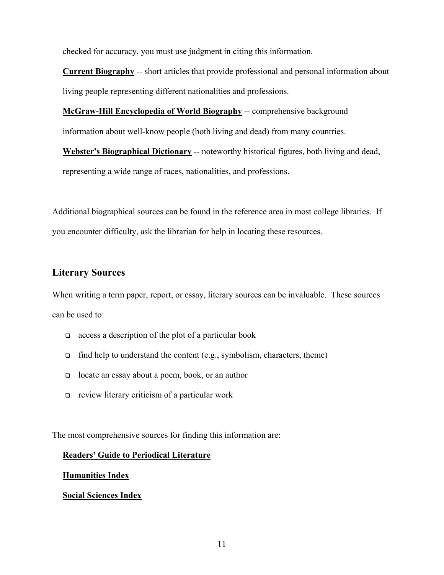checked for accuracy, you must use judgment in citing this information.

**Current Biography** -- short articles that provide professional and personal information about living people representing different nationalities and professions.

**McGraw-Hill Encyclopedia of World Biography** -- comprehensive background information about well-know people (both living and dead) from many countries.

**Webster's Biographical Dictionary** -- noteworthy historical figures, both living and dead, representing a wide range of races, nationalities, and professions.

Additional biographical sources can be found in the reference area in most college libraries. If you encounter difficulty, ask the librarian for help in locating these resources.

## **Literary Sources**

When writing a term paper, report, or essay, literary sources can be invaluable. These sources can be used to:

- $\Box$  access a description of the plot of a particular book
- $\Box$  find help to understand the content (e.g., symbolism, characters, theme)
- locate an essay about a poem, book, or an author
- review literary criticism of a particular work

The most comprehensive sources for finding this information are:

#### **Readers' Guide to Periodical Literature**

#### **Humanities Index**

#### **Social Sciences Index**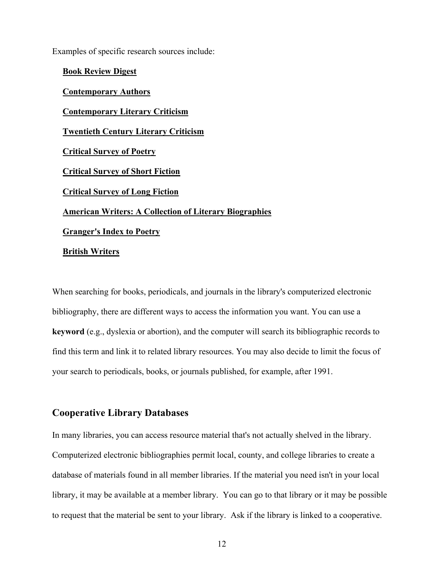Examples of specific research sources include:

**Book Review Digest Contemporary Authors Contemporary Literary Criticism Twentieth Century Literary Criticism Critical Survey of Poetry Critical Survey of Short Fiction Critical Survey of Long Fiction American Writers: A Collection of Literary Biographies Granger's Index to Poetry British Writers**

When searching for books, periodicals, and journals in the library's computerized electronic bibliography, there are different ways to access the information you want. You can use a **keyword** (e.g., dyslexia or abortion), and the computer will search its bibliographic records to find this term and link it to related library resources. You may also decide to limit the focus of your search to periodicals, books, or journals published, for example, after 1991.

## **Cooperative Library Databases**

In many libraries, you can access resource material that's not actually shelved in the library. Computerized electronic bibliographies permit local, county, and college libraries to create a database of materials found in all member libraries. If the material you need isn't in your local library, it may be available at a member library. You can go to that library or it may be possible to request that the material be sent to your library. Ask if the library is linked to a cooperative.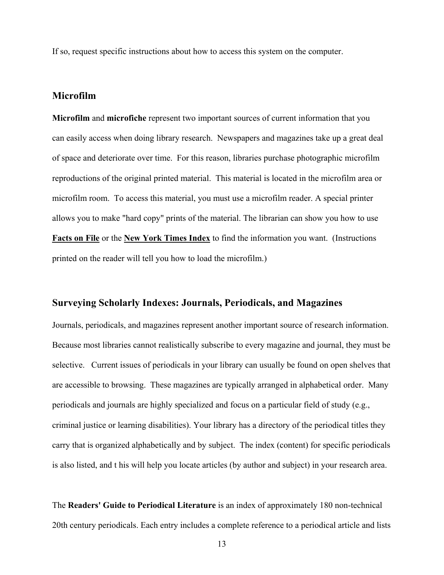If so, request specific instructions about how to access this system on the computer.

## **Microfilm**

**Microfilm** and **microfiche** represent two important sources of current information that you can easily access when doing library research. Newspapers and magazines take up a great deal of space and deteriorate over time. For this reason, libraries purchase photographic microfilm reproductions of the original printed material. This material is located in the microfilm area or microfilm room. To access this material, you must use a microfilm reader. A special printer allows you to make "hard copy" prints of the material. The librarian can show you how to use **Facts on File** or the **New York Times Index** to find the information you want. (Instructions printed on the reader will tell you how to load the microfilm.)

## **Surveying Scholarly Indexes: Journals, Periodicals, and Magazines**

Journals, periodicals, and magazines represent another important source of research information. Because most libraries cannot realistically subscribe to every magazine and journal, they must be selective. Current issues of periodicals in your library can usually be found on open shelves that are accessible to browsing. These magazines are typically arranged in alphabetical order. Many periodicals and journals are highly specialized and focus on a particular field of study (e.g., criminal justice or learning disabilities). Your library has a directory of the periodical titles they carry that is organized alphabetically and by subject. The index (content) for specific periodicals is also listed, and t his will help you locate articles (by author and subject) in your research area.

The **Readers' Guide to Periodical Literature** is an index of approximately 180 non-technical 20th century periodicals. Each entry includes a complete reference to a periodical article and lists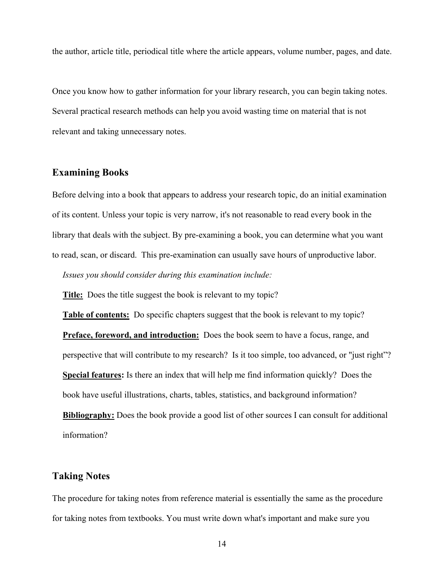the author, article title, periodical title where the article appears, volume number, pages, and date.

Once you know how to gather information for your library research, you can begin taking notes. Several practical research methods can help you avoid wasting time on material that is not relevant and taking unnecessary notes.

### **Examining Books**

Before delving into a book that appears to address your research topic, do an initial examination of its content. Unless your topic is very narrow, it's not reasonable to read every book in the library that deals with the subject. By pre-examining a book, you can determine what you want to read, scan, or discard. This pre-examination can usually save hours of unproductive labor.  *Issues you should consider during this examination include:* 

**Title:** Does the title suggest the book is relevant to my topic?

**Table of contents:** Do specific chapters suggest that the book is relevant to my topic? **Preface, foreword, and introduction:** Does the book seem to have a focus, range, and perspective that will contribute to my research? Is it too simple, too advanced, or "just right"? **Special features:** Is there an index that will help me find information quickly? Does the book have useful illustrations, charts, tables, statistics, and background information? **Bibliography:** Does the book provide a good list of other sources I can consult for additional information?

#### **Taking Notes**

The procedure for taking notes from reference material is essentially the same as the procedure for taking notes from textbooks. You must write down what's important and make sure you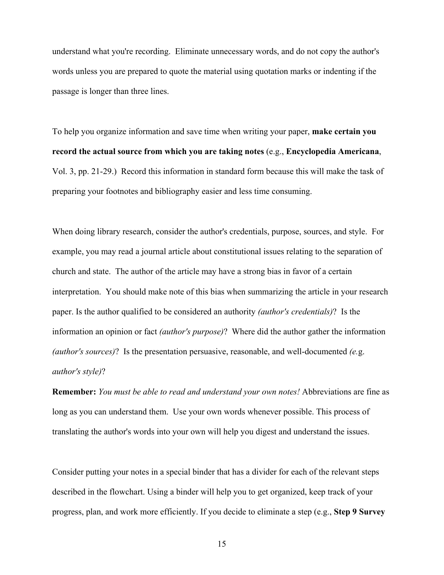understand what you're recording. Eliminate unnecessary words, and do not copy the author's words unless you are prepared to quote the material using quotation marks or indenting if the passage is longer than three lines.

To help you organize information and save time when writing your paper, **make certain you record the actual source from which you are taking notes** (e.g., **Encyclopedia Americana**, Vol. 3, pp. 21-29.) Record this information in standard form because this will make the task of preparing your footnotes and bibliography easier and less time consuming.

When doing library research, consider the author's credentials, purpose, sources, and style. For example, you may read a journal article about constitutional issues relating to the separation of church and state. The author of the article may have a strong bias in favor of a certain interpretation. You should make note of this bias when summarizing the article in your research paper. Is the author qualified to be considered an authority *(author's credentials)*? Is the information an opinion or fact *(author's purpose)*? Where did the author gather the information *(author's sources)*? Is the presentation persuasive, reasonable, and well-documented *(e.*g. *author's style)*?

**Remember:** *You must be able to read and understand your own notes!* Abbreviations are fine as long as you can understand them. Use your own words whenever possible. This process of translating the author's words into your own will help you digest and understand the issues.

Consider putting your notes in a special binder that has a divider for each of the relevant steps described in the flowchart. Using a binder will help you to get organized, keep track of your progress, plan, and work more efficiently. If you decide to eliminate a step (e.g., **Step 9 Survey**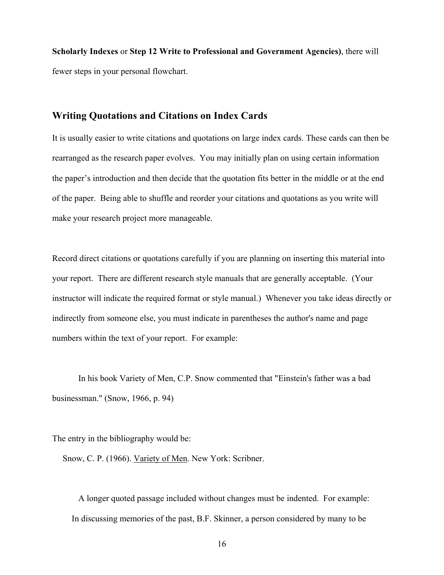**Scholarly Indexes** or **Step 12 Write to Professional and Government Agencies)**, there will fewer steps in your personal flowchart.

#### **Writing Quotations and Citations on Index Cards**

It is usually easier to write citations and quotations on large index cards. These cards can then be rearranged as the research paper evolves. You may initially plan on using certain information the paper's introduction and then decide that the quotation fits better in the middle or at the end of the paper. Being able to shuffle and reorder your citations and quotations as you write will make your research project more manageable.

Record direct citations or quotations carefully if you are planning on inserting this material into your report. There are different research style manuals that are generally acceptable. (Your instructor will indicate the required format or style manual.) Whenever you take ideas directly or indirectly from someone else, you must indicate in parentheses the author's name and page numbers within the text of your report. For example:

 In his book Variety of Men, C.P. Snow commented that "Einstein's father was a bad businessman." (Snow, 1966, p. 94)

The entry in the bibliography would be:

Snow, C. P. (1966). Variety of Men. New York: Scribner.

 A longer quoted passage included without changes must be indented. For example: In discussing memories of the past, B.F. Skinner, a person considered by many to be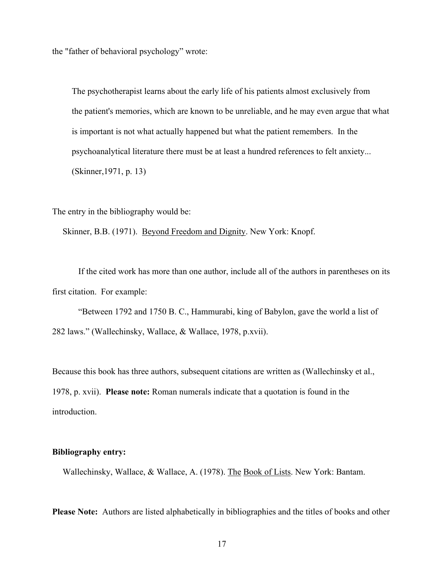the "father of behavioral psychology" wrote:

The psychotherapist learns about the early life of his patients almost exclusively from the patient's memories, which are known to be unreliable, and he may even argue that what is important is not what actually happened but what the patient remembers. In the psychoanalytical literature there must be at least a hundred references to felt anxiety... (Skinner,1971, p. 13)

The entry in the bibliography would be:

Skinner, B.B. (1971). Beyond Freedom and Dignity. New York: Knopf.

 If the cited work has more than one author, include all of the authors in parentheses on its first citation. For example:

 "Between 1792 and 1750 B. C., Hammurabi, king of Babylon, gave the world a list of 282 laws." (Wallechinsky, Wallace, & Wallace, 1978, p.xvii).

Because this book has three authors, subsequent citations are written as (Wallechinsky et al., 1978, p. xvii). **Please note:** Roman numerals indicate that a quotation is found in the introduction.

#### **Bibliography entry:**

Wallechinsky, Wallace, & Wallace, A. (1978). The Book of Lists. New York: Bantam.

**Please Note:** Authors are listed alphabetically in bibliographies and the titles of books and other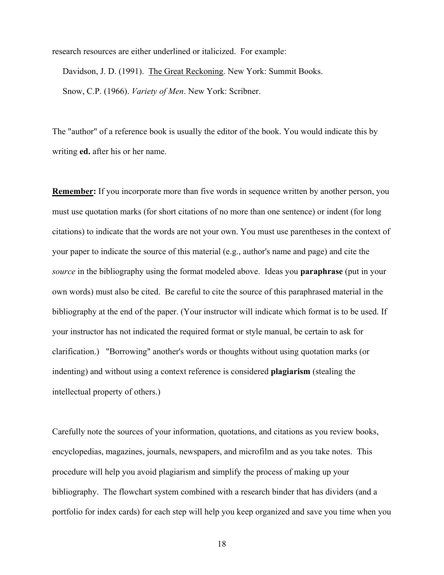research resources are either underlined or italicized. For example:

Davidson, J. D. (1991). The Great Reckoning. New York: Summit Books.

Snow, C.P. (1966). *Variety of Men*. New York: Scribner.

The "author" of a reference book is usually the editor of the book. You would indicate this by writing **ed.** after his or her name.

**Remember:** If you incorporate more than five words in sequence written by another person, you must use quotation marks (for short citations of no more than one sentence) or indent (for long citations) to indicate that the words are not your own. You must use parentheses in the context of your paper to indicate the source of this material (e.g., author's name and page) and cite the *source* in the bibliography using the format modeled above. Ideas you **paraphrase** (put in your own words) must also be cited. Be careful to cite the source of this paraphrased material in the bibliography at the end of the paper. (Your instructor will indicate which format is to be used. If your instructor has not indicated the required format or style manual, be certain to ask for clarification.) "Borrowing" another's words or thoughts without using quotation marks (or indenting) and without using a context reference is considered **plagiarism** (stealing the intellectual property of others.)

Carefully note the sources of your information, quotations, and citations as you review books, encyclopedias, magazines, journals, newspapers, and microfilm and as you take notes. This procedure will help you avoid plagiarism and simplify the process of making up your bibliography. The flowchart system combined with a research binder that has dividers (and a portfolio for index cards) for each step will help you keep organized and save you time when you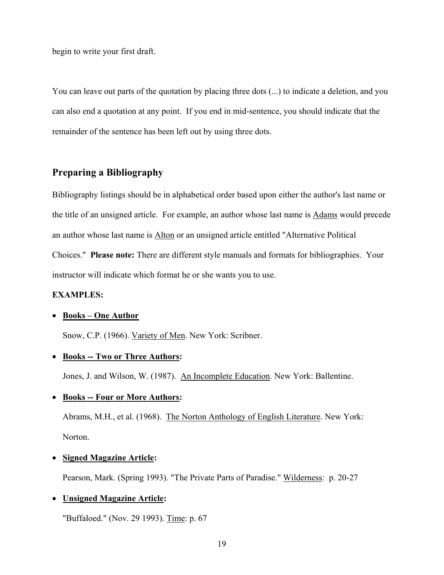begin to write your first draft.

You can leave out parts of the quotation by placing three dots (...) to indicate a deletion, and you can also end a quotation at any point. If you end in mid-sentence, you should indicate that the remainder of the sentence has been left out by using three dots.

## **Preparing a Bibliography**

Bibliography listings should be in alphabetical order based upon either the author's last name or the title of an unsigned article. For example, an author whose last name is Adams would precede an author whose last name is Alton or an unsigned article entitled "Alternative Political Choices." **Please note:** There are different style manuals and formats for bibliographies. Your instructor will indicate which format he or she wants you to use.

#### **EXAMPLES:**

#### • **Books – One Author**

Snow, C.P. (1966). Variety of Men. New York: Scribner.

### • **Books -- Two or Three Authors:**

Jones, J. and Wilson, W. (1987). An Incomplete Education. New York: Ballentine.

#### • **Books -- Four or More Authors:**

 Abrams, M.H., et al. (1968). The Norton Anthology of English Literature. New York: Norton.

### • **Signed Magazine Article:**

Pearson, Mark. (Spring 1993). "The Private Parts of Paradise." Wilderness: p. 20-27

#### • **Unsigned Magazine Article:**

"Buffaloed." (Nov. 29 1993). Time: p. 67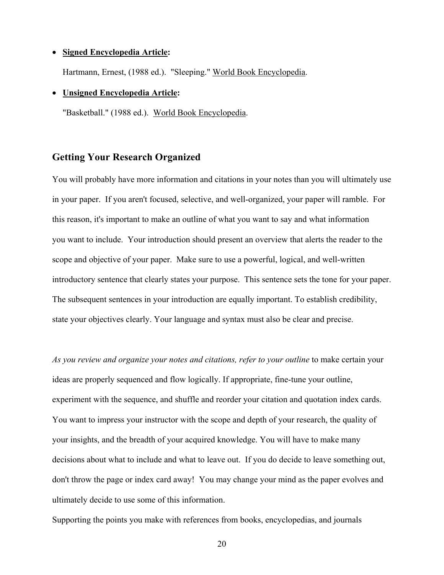#### • **Signed Encyclopedia Article:**

Hartmann, Ernest, (1988 ed.). "Sleeping." World Book Encyclopedia.

#### • **Unsigned Encyclopedia Article:**

"Basketball." (1988 ed.). World Book Encyclopedia.

## **Getting Your Research Organized**

You will probably have more information and citations in your notes than you will ultimately use in your paper. If you aren't focused, selective, and well-organized, your paper will ramble. For this reason, it's important to make an outline of what you want to say and what information you want to include. Your introduction should present an overview that alerts the reader to the scope and objective of your paper. Make sure to use a powerful, logical, and well-written introductory sentence that clearly states your purpose. This sentence sets the tone for your paper. The subsequent sentences in your introduction are equally important. To establish credibility, state your objectives clearly. Your language and syntax must also be clear and precise.

*As you review and organize your notes and citations, refer to your outline* to make certain your ideas are properly sequenced and flow logically. If appropriate, fine-tune your outline, experiment with the sequence, and shuffle and reorder your citation and quotation index cards. You want to impress your instructor with the scope and depth of your research, the quality of your insights, and the breadth of your acquired knowledge. You will have to make many decisions about what to include and what to leave out. If you do decide to leave something out, don't throw the page or index card away! You may change your mind as the paper evolves and ultimately decide to use some of this information.

Supporting the points you make with references from books, encyclopedias, and journals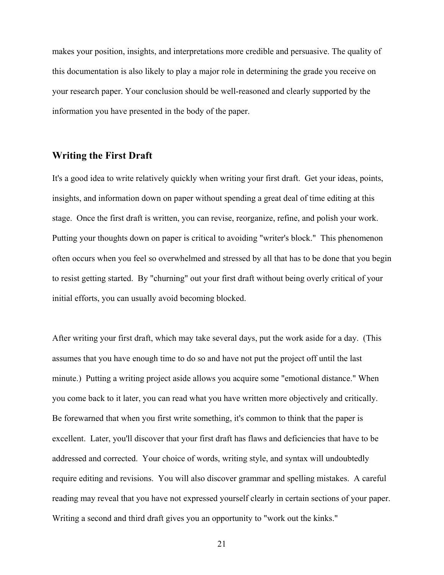makes your position, insights, and interpretations more credible and persuasive. The quality of this documentation is also likely to play a major role in determining the grade you receive on your research paper. Your conclusion should be well-reasoned and clearly supported by the information you have presented in the body of the paper.

#### **Writing the First Draft**

It's a good idea to write relatively quickly when writing your first draft. Get your ideas, points, insights, and information down on paper without spending a great deal of time editing at this stage. Once the first draft is written, you can revise, reorganize, refine, and polish your work. Putting your thoughts down on paper is critical to avoiding "writer's block." This phenomenon often occurs when you feel so overwhelmed and stressed by all that has to be done that you begin to resist getting started. By "churning" out your first draft without being overly critical of your initial efforts, you can usually avoid becoming blocked.

After writing your first draft, which may take several days, put the work aside for a day. (This assumes that you have enough time to do so and have not put the project off until the last minute.) Putting a writing project aside allows you acquire some "emotional distance." When you come back to it later, you can read what you have written more objectively and critically. Be forewarned that when you first write something, it's common to think that the paper is excellent. Later, you'll discover that your first draft has flaws and deficiencies that have to be addressed and corrected. Your choice of words, writing style, and syntax will undoubtedly require editing and revisions. You will also discover grammar and spelling mistakes. A careful reading may reveal that you have not expressed yourself clearly in certain sections of your paper. Writing a second and third draft gives you an opportunity to "work out the kinks."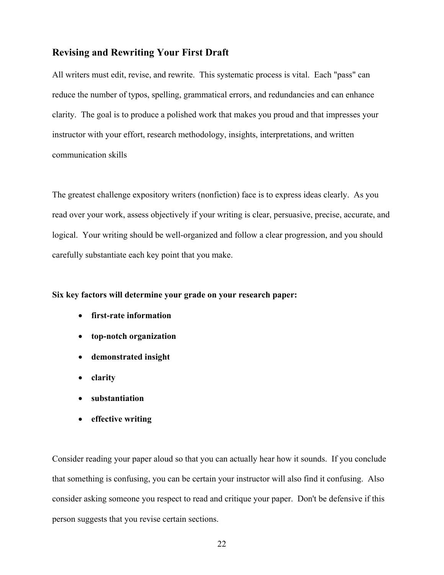### **Revising and Rewriting Your First Draft**

All writers must edit, revise, and rewrite. This systematic process is vital. Each "pass" can reduce the number of typos, spelling, grammatical errors, and redundancies and can enhance clarity. The goal is to produce a polished work that makes you proud and that impresses your instructor with your effort, research methodology, insights, interpretations, and written communication skills

The greatest challenge expository writers (nonfiction) face is to express ideas clearly. As you read over your work, assess objectively if your writing is clear, persuasive, precise, accurate, and logical. Your writing should be well-organized and follow a clear progression, and you should carefully substantiate each key point that you make.

#### **Six key factors will determine your grade on your research paper:**

- **first-rate information**
- **top-notch organization**
- **demonstrated insight**
- **clarity**
- **substantiation**
- **effective writing**

Consider reading your paper aloud so that you can actually hear how it sounds. If you conclude that something is confusing, you can be certain your instructor will also find it confusing. Also consider asking someone you respect to read and critique your paper. Don't be defensive if this person suggests that you revise certain sections.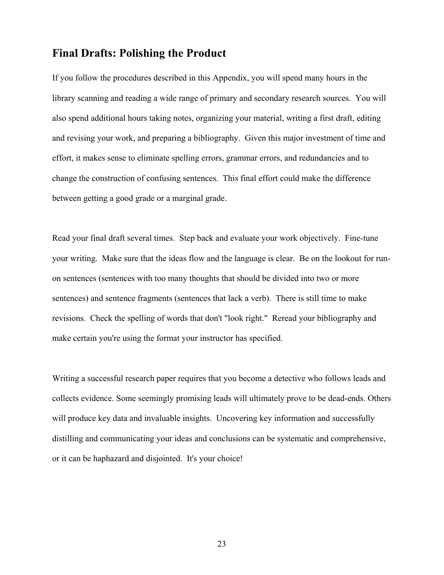## **Final Drafts: Polishing the Product**

If you follow the procedures described in this Appendix, you will spend many hours in the library scanning and reading a wide range of primary and secondary research sources. You will also spend additional hours taking notes, organizing your material, writing a first draft, editing and revising your work, and preparing a bibliography. Given this major investment of time and effort, it makes sense to eliminate spelling errors, grammar errors, and redundancies and to change the construction of confusing sentences. This final effort could make the difference between getting a good grade or a marginal grade.

Read your final draft several times. Step back and evaluate your work objectively. Fine-tune your writing. Make sure that the ideas flow and the language is clear. Be on the lookout for runon sentences (sentences with too many thoughts that should be divided into two or more sentences) and sentence fragments (sentences that lack a verb). There is still time to make revisions. Check the spelling of words that don't "look right." Reread your bibliography and make certain you're using the format your instructor has specified.

Writing a successful research paper requires that you become a detective who follows leads and collects evidence. Some seemingly promising leads will ultimately prove to be dead-ends. Others will produce key data and invaluable insights. Uncovering key information and successfully distilling and communicating your ideas and conclusions can be systematic and comprehensive, or it can be haphazard and disjointed. It's your choice!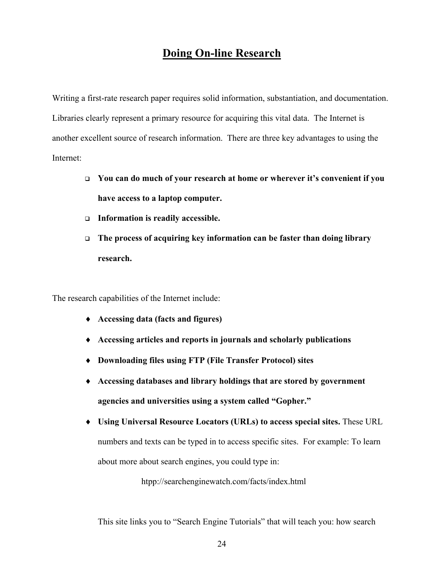## **Doing On-line Research**

Writing a first-rate research paper requires solid information, substantiation, and documentation. Libraries clearly represent a primary resource for acquiring this vital data. The Internet is another excellent source of research information. There are three key advantages to using the Internet:

- **You can do much of your research at home or wherever it's convenient if you have access to a laptop computer.**
- **Information is readily accessible.**
- **The process of acquiring key information can be faster than doing library research.**

The research capabilities of the Internet include:

- ♦ **Accessing data (facts and figures)**
- ♦ **Accessing articles and reports in journals and scholarly publications**
- ♦ **Downloading files using FTP (File Transfer Protocol) sites**
- ♦ **Accessing databases and library holdings that are stored by government agencies and universities using a system called "Gopher."**
- ♦ **Using Universal Resource Locators (URLs) to access special sites.** These URL numbers and texts can be typed in to access specific sites. For example: To learn about more about search engines, you could type in:

htpp://searchenginewatch.com/facts/index.html

This site links you to "Search Engine Tutorials" that will teach you: how search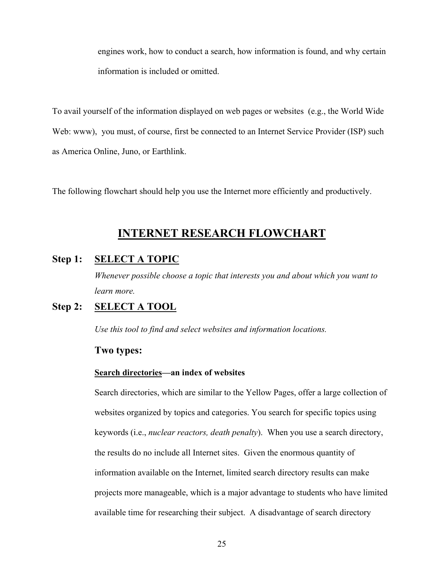engines work, how to conduct a search, how information is found, and why certain information is included or omitted.

To avail yourself of the information displayed on web pages or websites (e.g., the World Wide Web: www), you must, of course, first be connected to an Internet Service Provider (ISP) such as America Online, Juno, or Earthlink.

The following flowchart should help you use the Internet more efficiently and productively.

## **INTERNET RESEARCH FLOWCHART**

## **Step 1: SELECT A TOPIC**

*Whenever possible choose a topic that interests you and about which you want to learn more.* 

## **Step 2: SELECT A TOOL**

 *Use this tool to find and select websites and information locations.* 

#### **Two types:**

#### **Search directories—an index of websites**

Search directories, which are similar to the Yellow Pages, offer a large collection of websites organized by topics and categories. You search for specific topics using keywords (i.e., *nuclear reactors, death penalty*). When you use a search directory, the results do no include all Internet sites. Given the enormous quantity of information available on the Internet, limited search directory results can make projects more manageable, which is a major advantage to students who have limited available time for researching their subject. A disadvantage of search directory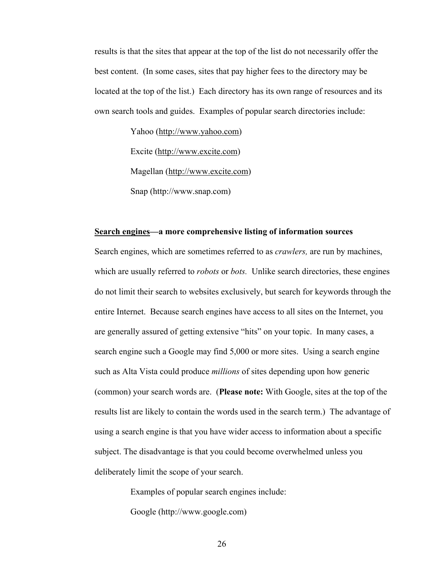results is that the sites that appear at the top of the list do not necessarily offer the best content. (In some cases, sites that pay higher fees to the directory may be located at the top of the list.) Each directory has its own range of resources and its own search tools and guides. Examples of popular search directories include:

> Yahoo (http://www.yahoo.com) Excite (http://www.excite.com) Magellan (http://www.excite.com) Snap (http://www.snap.com)

#### **Search engines—a more comprehensive listing of information sources**

Search engines, which are sometimes referred to as *crawlers,* are run by machines, which are usually referred to *robots* or *bots.* Unlike search directories, these engines do not limit their search to websites exclusively, but search for keywords through the entire Internet. Because search engines have access to all sites on the Internet, you are generally assured of getting extensive "hits" on your topic. In many cases, a search engine such a Google may find 5,000 or more sites. Using a search engine such as Alta Vista could produce *millions* of sites depending upon how generic (common) your search words are. (**Please note:** With Google, sites at the top of the results list are likely to contain the words used in the search term.) The advantage of using a search engine is that you have wider access to information about a specific subject. The disadvantage is that you could become overwhelmed unless you deliberately limit the scope of your search.

Examples of popular search engines include:

Google (http://www.google.com)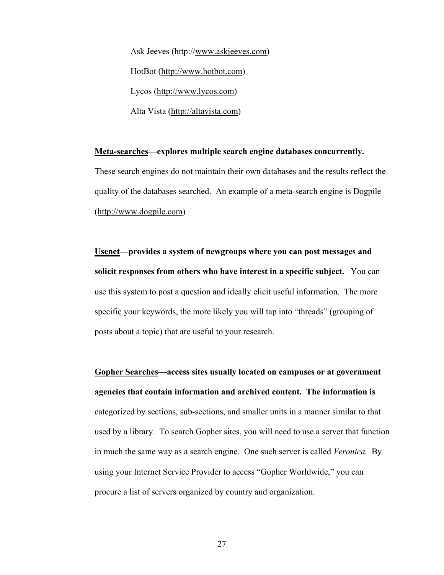Ask Jeeves (http://www.askjeeves.com) HotBot (http://www.hotbot.com) Lycos (http://www.lycos.com) Alta Vista (http://altavista.com)

#### **Meta-searches—explores multiple search engine databases concurrently.**

These search engines do not maintain their own databases and the results reflect the quality of the databases searched. An example of a meta-search engine is Dogpile (http://www.dogpile.com)

**Usenet—provides a system of newgroups where you can post messages and solicit responses from others who have interest in a specific subject.** You can use this system to post a question and ideally elicit useful information. The more specific your keywords, the more likely you will tap into "threads" (grouping of posts about a topic) that are useful to your research.

**Gopher Searches—access sites usually located on campuses or at government agencies that contain information and archived content. The information is** categorized by sections, sub-sections, and smaller units in a manner similar to that used by a library. To search Gopher sites, you will need to use a server that function in much the same way as a search engine. One such server is called *Veronica.* By using your Internet Service Provider to access "Gopher Worldwide," you can procure a list of servers organized by country and organization.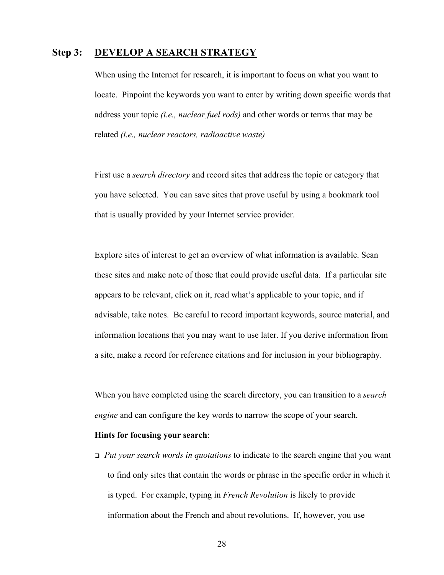### **Step 3: DEVELOP A SEARCH STRATEGY**

When using the Internet for research, it is important to focus on what you want to locate. Pinpoint the keywords you want to enter by writing down specific words that address your topic *(i.e., nuclear fuel rods)* and other words or terms that may be related *(i.e., nuclear reactors, radioactive waste)* 

First use a *search directory* and record sites that address the topic or category that you have selected. You can save sites that prove useful by using a bookmark tool that is usually provided by your Internet service provider.

Explore sites of interest to get an overview of what information is available. Scan these sites and make note of those that could provide useful data. If a particular site appears to be relevant, click on it, read what's applicable to your topic, and if advisable, take notes. Be careful to record important keywords, source material, and information locations that you may want to use later. If you derive information from a site, make a record for reference citations and for inclusion in your bibliography.

When you have completed using the search directory, you can transition to a *search engine* and can configure the key words to narrow the scope of your search.

#### **Hints for focusing your search**:

 *Put your search words in quotations* to indicate to the search engine that you want to find only sites that contain the words or phrase in the specific order in which it is typed. For example, typing in *French Revolution* is likely to provide information about the French and about revolutions. If, however, you use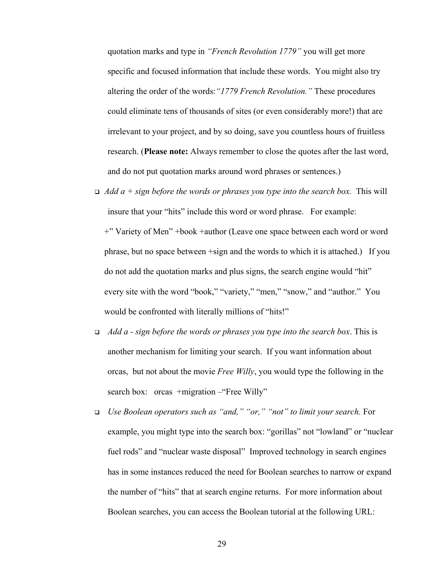quotation marks and type in *"French Revolution 1779"* you will get more specific and focused information that include these words. You might also try altering the order of the words:*"1779 French Revolution."* These procedures could eliminate tens of thousands of sites (or even considerably more!) that are irrelevant to your project, and by so doing, save you countless hours of fruitless research. (**Please note:** Always remember to close the quotes after the last word, and do not put quotation marks around word phrases or sentences.)

- $\Box$  *Add a + sign before the words or phrases you type into the search box.* This will insure that your "hits" include this word or word phrase. For example: +" Variety of Men" +book +author (Leave one space between each word or word phrase, but no space between +sign and the words to which it is attached.) If you do not add the quotation marks and plus signs, the search engine would "hit" every site with the word "book," "variety," "men," "snow," and "author." You would be confronted with literally millions of "hits!"
- *Add a sign before the words or phrases you type into the search box*. This is another mechanism for limiting your search. If you want information about orcas, but not about the movie *Free Willy*, you would type the following in the search box: orcas +migration – "Free Willy"
- *Use Boolean operators such as "and," "or," "not" to limit your search.* For example, you might type into the search box: "gorillas" not "lowland" or "nuclear fuel rods" and "nuclear waste disposal" Improved technology in search engines has in some instances reduced the need for Boolean searches to narrow or expand the number of "hits" that at search engine returns. For more information about Boolean searches, you can access the Boolean tutorial at the following URL: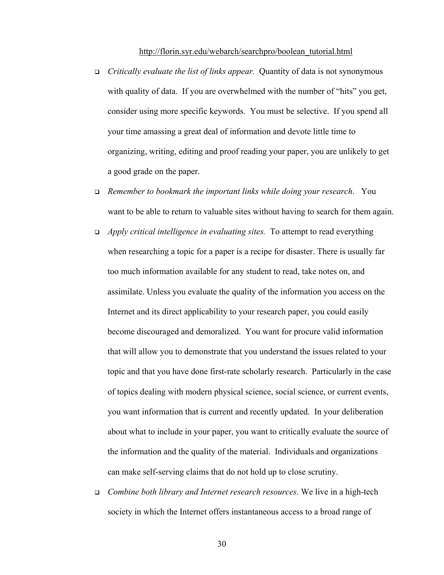#### http://florin.syr.edu/webarch/searchpro/boolean\_tutorial.html

- *Critically evaluate the list of links appear.* Quantity of data is not synonymous with quality of data. If you are overwhelmed with the number of "hits" you get, consider using more specific keywords. You must be selective. If you spend all your time amassing a great deal of information and devote little time to organizing, writing, editing and proof reading your paper, you are unlikely to get a good grade on the paper.
- *Remember to bookmark the important links while doing your research*. You want to be able to return to valuable sites without having to search for them again.
- *Apply critical intelligence in evaluating sites.* To attempt to read everything when researching a topic for a paper is a recipe for disaster. There is usually far too much information available for any student to read, take notes on, and assimilate. Unless you evaluate the quality of the information you access on the Internet and its direct applicability to your research paper, you could easily become discouraged and demoralized. You want for procure valid information that will allow you to demonstrate that you understand the issues related to your topic and that you have done first-rate scholarly research. Particularly in the case of topics dealing with modern physical science, social science, or current events, you want information that is current and recently updated. In your deliberation about what to include in your paper, you want to critically evaluate the source of the information and the quality of the material. Individuals and organizations can make self-serving claims that do not hold up to close scrutiny.
- *Combine both library and Internet research resources.* We live in a high-tech society in which the Internet offers instantaneous access to a broad range of